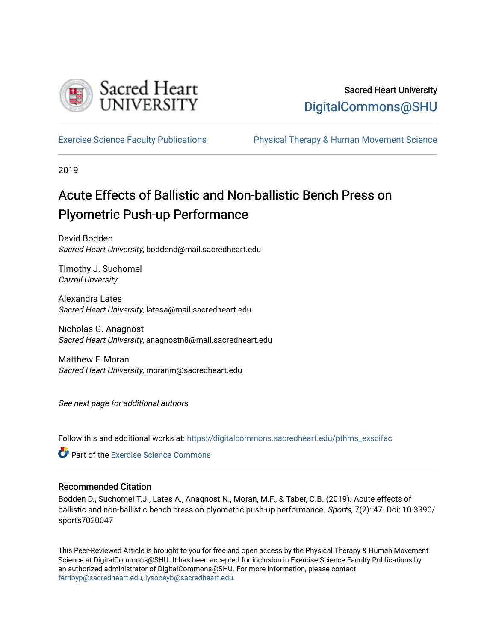

## Sacred Heart University [DigitalCommons@SHU](https://digitalcommons.sacredheart.edu/)

[Exercise Science Faculty Publications](https://digitalcommons.sacredheart.edu/pthms_exscifac) [Physical Therapy & Human Movement Science](https://digitalcommons.sacredheart.edu/pthms) 

2019

## Acute Effects of Ballistic and Non-ballistic Bench Press on Plyometric Push-up Performance

David Bodden Sacred Heart University, boddend@mail.sacredheart.edu

TImothy J. Suchomel Carroll Unversity

Alexandra Lates Sacred Heart University, latesa@mail.sacredheart.edu

Nicholas G. Anagnost Sacred Heart University, anagnostn8@mail.sacredheart.edu

Matthew F. Moran Sacred Heart University, moranm@sacredheart.edu

See next page for additional authors

Follow this and additional works at: [https://digitalcommons.sacredheart.edu/pthms\\_exscifac](https://digitalcommons.sacredheart.edu/pthms_exscifac?utm_source=digitalcommons.sacredheart.edu%2Fpthms_exscifac%2F30&utm_medium=PDF&utm_campaign=PDFCoverPages)

**C** Part of the [Exercise Science Commons](http://network.bepress.com/hgg/discipline/1091?utm_source=digitalcommons.sacredheart.edu%2Fpthms_exscifac%2F30&utm_medium=PDF&utm_campaign=PDFCoverPages)

## Recommended Citation

Bodden D., Suchomel T.J., Lates A., Anagnost N., Moran, M.F., & Taber, C.B. (2019). Acute effects of ballistic and non-ballistic bench press on plyometric push-up performance. Sports, 7(2): 47. Doi: 10.3390/ sports7020047

This Peer-Reviewed Article is brought to you for free and open access by the Physical Therapy & Human Movement Science at DigitalCommons@SHU. It has been accepted for inclusion in Exercise Science Faculty Publications by an authorized administrator of DigitalCommons@SHU. For more information, please contact [ferribyp@sacredheart.edu, lysobeyb@sacredheart.edu.](mailto:ferribyp@sacredheart.edu,%20lysobeyb@sacredheart.edu)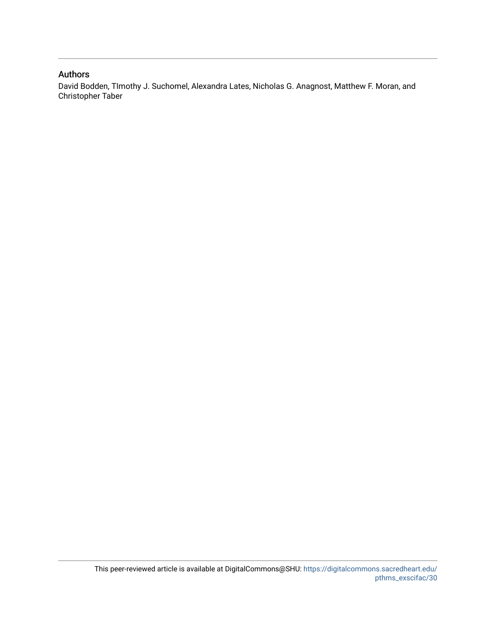## Authors

David Bodden, TImothy J. Suchomel, Alexandra Lates, Nicholas G. Anagnost, Matthew F. Moran, and Christopher Taber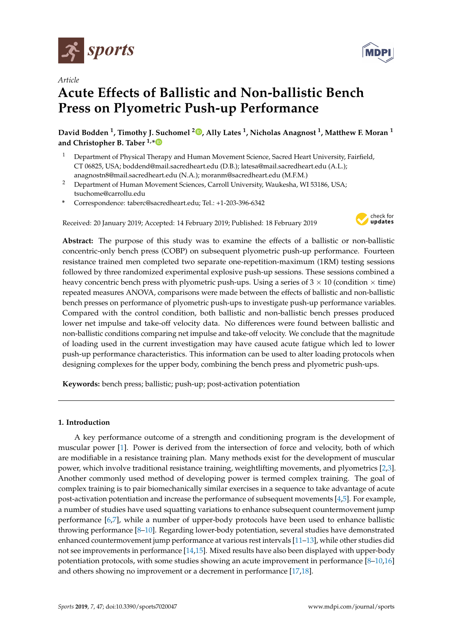

*Article*

# **Acute Effects of Ballistic and Non-ballistic Bench Press on Plyometric Push-up Performance**

**David Bodden <sup>1</sup> , Timothy J. Suchomel <sup>2</sup> [,](https://orcid.org/0000-0002-1763-5518) Ally Lates <sup>1</sup> , Nicholas Anagnost <sup>1</sup> , Matthew F. Moran <sup>1</sup> and Christopher B. Taber 1,[\\*](https://orcid.org/0000-0002-2446-311X)**

- <sup>1</sup> Department of Physical Therapy and Human Movement Science, Sacred Heart University, Fairfield, CT 06825, USA; boddend@mail.sacredheart.edu (D.B.); latesa@mail.sacredheart.edu (A.L.); anagnostn8@mail.sacredheart.edu (N.A.); moranm@sacredheart.edu (M.F.M.)
- <sup>2</sup> Department of Human Movement Sciences, Carroll University, Waukesha, WI 53186, USA; tsuchome@carrollu.edu
- **\*** Correspondence: taberc@sacredheart.edu; Tel.: +1-203-396-6342

Received: 20 January 2019; Accepted: 14 February 2019; Published: 18 February 2019



**Abstract:** The purpose of this study was to examine the effects of a ballistic or non-ballistic concentric-only bench press (COBP) on subsequent plyometric push-up performance. Fourteen resistance trained men completed two separate one-repetition-maximum (1RM) testing sessions followed by three randomized experimental explosive push-up sessions. These sessions combined a heavy concentric bench press with plyometric push-ups. Using a series of  $3 \times 10$  (condition  $\times$  time) repeated measures ANOVA, comparisons were made between the effects of ballistic and non-ballistic bench presses on performance of plyometric push-ups to investigate push-up performance variables. Compared with the control condition, both ballistic and non-ballistic bench presses produced lower net impulse and take-off velocity data. No differences were found between ballistic and non-ballistic conditions comparing net impulse and take-off velocity. We conclude that the magnitude of loading used in the current investigation may have caused acute fatigue which led to lower push-up performance characteristics. This information can be used to alter loading protocols when designing complexes for the upper body, combining the bench press and plyometric push-ups.

**Keywords:** bench press; ballistic; push-up; post-activation potentiation

### **1. Introduction**

A key performance outcome of a strength and conditioning program is the development of muscular power [\[1\]](#page-10-0). Power is derived from the intersection of force and velocity, both of which are modifiable in a resistance training plan. Many methods exist for the development of muscular power, which involve traditional resistance training, weightlifting movements, and plyometrics [\[2,](#page-10-1)[3\]](#page-10-2). Another commonly used method of developing power is termed complex training. The goal of complex training is to pair biomechanically similar exercises in a sequence to take advantage of acute post-activation potentiation and increase the performance of subsequent movements [\[4,](#page-10-3)[5\]](#page-10-4). For example, a number of studies have used squatting variations to enhance subsequent countermovement jump performance [\[6,](#page-10-5)[7\]](#page-10-6), while a number of upper-body protocols have been used to enhance ballistic throwing performance [\[8](#page-10-7)[–10\]](#page-10-8). Regarding lower-body potentiation, several studies have demonstrated enhanced countermovement jump performance at various rest intervals [\[11–](#page-10-9)[13\]](#page-10-10), while other studies did not see improvements in performance [\[14,](#page-10-11)[15\]](#page-10-12). Mixed results have also been displayed with upper-body potentiation protocols, with some studies showing an acute improvement in performance [\[8–](#page-10-7)[10](#page-10-8)[,16\]](#page-10-13) and others showing no improvement or a decrement in performance [\[17](#page-10-14)[,18\]](#page-10-15).

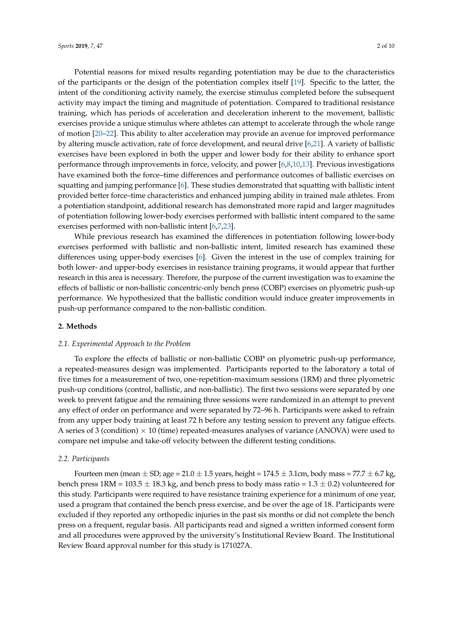Potential reasons for mixed results regarding potentiation may be due to the characteristics of the participants or the design of the potentiation complex itself [\[19\]](#page-11-0). Specific to the latter, the intent of the conditioning activity namely, the exercise stimulus completed before the subsequent activity may impact the timing and magnitude of potentiation. Compared to traditional resistance training, which has periods of acceleration and deceleration inherent to the movement, ballistic exercises provide a unique stimulus where athletes can attempt to accelerate through the whole range of motion [\[20–](#page-11-1)[22\]](#page-11-2). This ability to alter acceleration may provide an avenue for improved performance by altering muscle activation, rate of force development, and neural drive [\[6,](#page-10-5)[21\]](#page-11-3). A variety of ballistic exercises have been explored in both the upper and lower body for their ability to enhance sport performance through improvements in force, velocity, and power [\[6,](#page-10-5)[8,](#page-10-7)[10,](#page-10-8)[13\]](#page-10-10). Previous investigations have examined both the force–time differences and performance outcomes of ballistic exercises on squatting and jumping performance [\[6\]](#page-10-5). These studies demonstrated that squatting with ballistic intent provided better force–time characteristics and enhanced jumping ability in trained male athletes. From a potentiation standpoint, additional research has demonstrated more rapid and larger magnitudes of potentiation following lower-body exercises performed with ballistic intent compared to the same exercises performed with non-ballistic intent [\[6,](#page-10-5)[7,](#page-10-6)[23\]](#page-11-4).

While previous research has examined the differences in potentiation following lower-body exercises performed with ballistic and non-ballistic intent, limited research has examined these differences using upper-body exercises [\[6\]](#page-10-5). Given the interest in the use of complex training for both lower- and upper-body exercises in resistance training programs, it would appear that further research in this area is necessary. Therefore, the purpose of the current investigation was to examine the effects of ballistic or non-ballistic concentric-only bench press (COBP) exercises on plyometric push-up performance. We hypothesized that the ballistic condition would induce greater improvements in push-up performance compared to the non-ballistic condition.

#### **2. Methods**

#### *2.1. Experimental Approach to the Problem*

To explore the effects of ballistic or non-ballistic COBP on plyometric push-up performance, a repeated-measures design was implemented. Participants reported to the laboratory a total of five times for a measurement of two, one-repetition-maximum sessions (1RM) and three plyometric push-up conditions (control, ballistic, and non-ballistic). The first two sessions were separated by one week to prevent fatigue and the remaining three sessions were randomized in an attempt to prevent any effect of order on performance and were separated by 72–96 h. Participants were asked to refrain from any upper body training at least 72 h before any testing session to prevent any fatigue effects. A series of 3 (condition)  $\times$  10 (time) repeated-measures analyses of variance (ANOVA) were used to compare net impulse and take-off velocity between the different testing conditions.

#### *2.2. Participants*

Fourteen men (mean  $\pm$  SD; age = 21.0  $\pm$  1.5 years, height = 174.5  $\pm$  3.1cm, body mass = 77.7  $\pm$  6.7 kg, bench press 1RM =  $103.5 \pm 18.3$  kg, and bench press to body mass ratio =  $1.3 \pm 0.2$ ) volunteered for this study. Participants were required to have resistance training experience for a minimum of one year, used a program that contained the bench press exercise, and be over the age of 18. Participants were excluded if they reported any orthopedic injuries in the past six months or did not complete the bench press on a frequent, regular basis. All participants read and signed a written informed consent form and all procedures were approved by the university's Institutional Review Board. The Institutional Review Board approval number for this study is 171027A.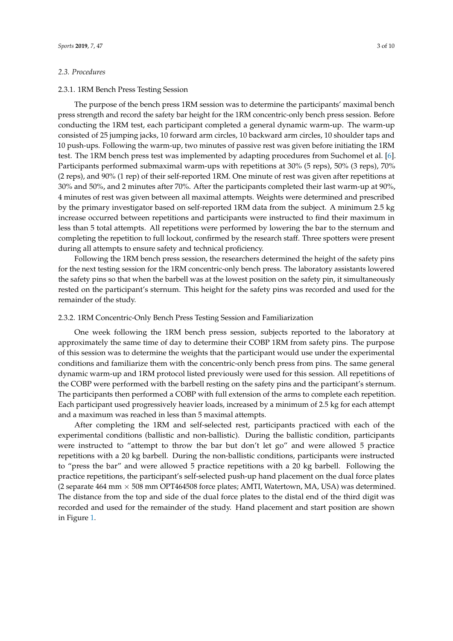#### *2.3. Procedures*

#### 2.3.1. 1RM Bench Press Testing Session

The purpose of the bench press 1RM session was to determine the participants' maximal bench press strength and record the safety bar height for the 1RM concentric-only bench press session. Before conducting the 1RM test, each participant completed a general dynamic warm-up. The warm-up consisted of 25 jumping jacks, 10 forward arm circles, 10 backward arm circles, 10 shoulder taps and 10 push-ups. Following the warm-up, two minutes of passive rest was given before initiating the 1RM test. The 1RM bench press test was implemented by adapting procedures from Suchomel et al. [\[6\]](#page-10-5). Participants performed submaximal warm-ups with repetitions at 30% (5 reps), 50% (3 reps), 70% (2 reps), and 90% (1 rep) of their self-reported 1RM. One minute of rest was given after repetitions at 30% and 50%, and 2 minutes after 70%. After the participants completed their last warm-up at 90%, 4 minutes of rest was given between all maximal attempts. Weights were determined and prescribed by the primary investigator based on self-reported 1RM data from the subject. A minimum 2.5 kg increase occurred between repetitions and participants were instructed to find their maximum in less than 5 total attempts. All repetitions were performed by lowering the bar to the sternum and completing the repetition to full lockout, confirmed by the research staff. Three spotters were present during all attempts to ensure safety and technical proficiency.

Following the 1RM bench press session, the researchers determined the height of the safety pins for the next testing session for the 1RM concentric-only bench press. The laboratory assistants lowered the safety pins so that when the barbell was at the lowest position on the safety pin, it simultaneously rested on the participant's sternum. This height for the safety pins was recorded and used for the remainder of the study.

#### 2.3.2. 1RM Concentric-Only Bench Press Testing Session and Familiarization

One week following the 1RM bench press session, subjects reported to the laboratory at approximately the same time of day to determine their COBP 1RM from safety pins. The purpose of this session was to determine the weights that the participant would use under the experimental conditions and familiarize them with the concentric-only bench press from pins. The same general dynamic warm-up and 1RM protocol listed previously were used for this session. All repetitions of the COBP were performed with the barbell resting on the safety pins and the participant's sternum. The participants then performed a COBP with full extension of the arms to complete each repetition. Each participant used progressively heavier loads, increased by a minimum of 2.5 kg for each attempt and a maximum was reached in less than 5 maximal attempts.

After completing the 1RM and self-selected rest, participants practiced with each of the experimental conditions (ballistic and non-ballistic). During the ballistic condition, participants were instructed to "attempt to throw the bar but don't let go" and were allowed 5 practice repetitions with a 20 kg barbell. During the non-ballistic conditions, participants were instructed to "press the bar" and were allowed 5 practice repetitions with a 20 kg barbell. Following the practice repetitions, the participant's self-selected push-up hand placement on the dual force plates (2 separate 464 mm  $\times$  508 mm OPT464508 force plates; AMTI, Watertown, MA, USA) was determined. The distance from the top and side of the dual force plates to the distal end of the third digit was recorded and used for the remainder of the study. Hand placement and start position are shown in Figure [1.](#page-5-0)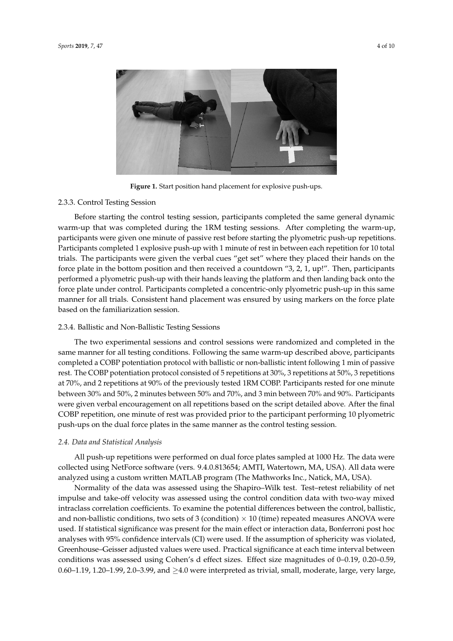<span id="page-5-0"></span>

**Figure 1.** Start position hand placement for explosive push-ups.

#### 2.3.3. Control Testing Session

Before starting the control testing session, participants completed the same general dynamic warm-up that was completed during the 1RM testing sessions. After completing the warm-up, participants were given one minute of passive rest before starting the plyometric push-up repetitions. Participants completed 1 explosive push-up with 1 minute of rest in between each repetition for 10 total trials. The participants were given the verbal cues "get set" where they placed their hands on the force plate in the bottom position and then received a countdown "3, 2, 1, up!". Then, participants performed a plyometric push-up with their hands leaving the platform and then landing back onto the force plate under control. Participants completed a concentric-only plyometric push-up in this same manner for all trials. Consistent hand placement was ensured by using markers on the force plate based on the familiarization session.

#### 2.3.4. Ballistic and Non-Ballistic Testing Sessions

The two experimental sessions and control sessions were randomized and completed in the same manner for all testing conditions. Following the same warm-up described above, participants completed a COBP potentiation protocol with ballistic or non-ballistic intent following 1 min of passive rest. The COBP potentiation protocol consisted of 5 repetitions at 30%, 3 repetitions at 50%, 3 repetitions at 70%, and 2 repetitions at 90% of the previously tested 1RM COBP. Participants rested for one minute between 30% and 50%, 2 minutes between 50% and 70%, and 3 min between 70% and 90%. Participants were given verbal encouragement on all repetitions based on the script detailed above. After the final COBP repetition, one minute of rest was provided prior to the participant performing 10 plyometric push-ups on the dual force plates in the same manner as the control testing session.

#### *2.4. Data and Statistical Analysis*

All push-up repetitions were performed on dual force plates sampled at 1000 Hz. The data were collected using NetForce software (vers. 9.4.0.813654; AMTI, Watertown, MA, USA). All data were analyzed using a custom written MATLAB program (The Mathworks Inc., Natick, MA, USA).

Normality of the data was assessed using the Shapiro–Wilk test. Test–retest reliability of net impulse and take-off velocity was assessed using the control condition data with two-way mixed intraclass correlation coefficients. To examine the potential differences between the control, ballistic, and non-ballistic conditions, two sets of 3 (condition)  $\times$  10 (time) repeated measures ANOVA were used. If statistical significance was present for the main effect or interaction data, Bonferroni post hoc analyses with 95% confidence intervals (CI) were used. If the assumption of sphericity was violated, Greenhouse–Geisser adjusted values were used. Practical significance at each time interval between conditions was assessed using Cohen's d effect sizes. Effect size magnitudes of 0–0.19, 0.20–0.59, 0.60–1.19, 1.20–1.99, 2.0–3.99, and  $\geq$ 4.0 were interpreted as trivial, small, moderate, large, very large,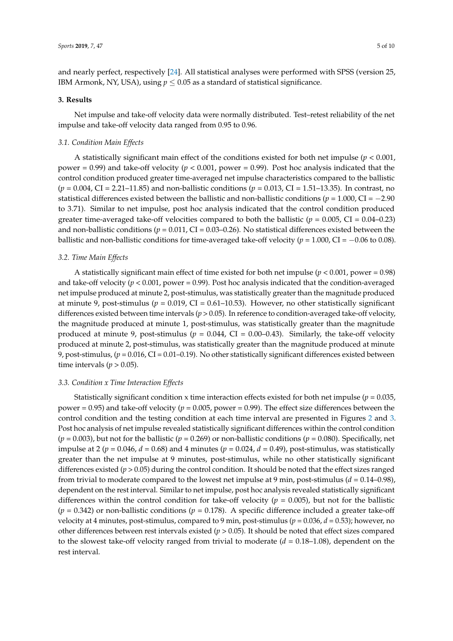and nearly perfect, respectively [\[24\]](#page-11-5). All statistical analyses were performed with SPSS (version 25, IBM Armonk, NY, USA), using  $p \leq 0.05$  as a standard of statistical significance.

#### **3. Results**

Net impulse and take-off velocity data were normally distributed. Test–retest reliability of the net impulse and take-off velocity data ranged from 0.95 to 0.96.

#### *3.1. Condition Main Effects*

A statistically significant main effect of the conditions existed for both net impulse (*p* < 0.001, power = 0.99) and take-off velocity ( $p < 0.001$ , power = 0.99). Post hoc analysis indicated that the control condition produced greater time-averaged net impulse characteristics compared to the ballistic (*p* = 0.004, CI = 2.21–11.85) and non-ballistic conditions (*p* = 0.013, CI = 1.51–13.35). In contrast, no statistical differences existed between the ballistic and non-ballistic conditions ( $p = 1.000$ , CI =  $-2.90$ ) to 3.71). Similar to net impulse, post hoc analysis indicated that the control condition produced greater time-averaged take-off velocities compared to both the ballistic ( $p = 0.005$ , CI = 0.04–0.23) and non-ballistic conditions  $(p = 0.011, CI = 0.03 - 0.26)$ . No statistical differences existed between the ballistic and non-ballistic conditions for time-averaged take-off velocity ( $p = 1.000$ , CI =  $-0.06$  to 0.08).

#### *3.2. Time Main Effects*

A statistically significant main effect of time existed for both net impulse  $(p < 0.001, power = 0.98)$ and take-off velocity (*p* < 0.001, power = 0.99). Post hoc analysis indicated that the condition-averaged net impulse produced at minute 2, post-stimulus, was statistically greater than the magnitude produced at minute 9, post-stimulus ( $p = 0.019$ , CI = 0.61-10.53). However, no other statistically significant differences existed between time intervals (*p* > 0.05). In reference to condition-averaged take-off velocity, the magnitude produced at minute 1, post-stimulus, was statistically greater than the magnitude produced at minute 9, post-stimulus ( $p = 0.044$ , CI = 0.00–0.43). Similarly, the take-off velocity produced at minute 2, post-stimulus, was statistically greater than the magnitude produced at minute 9, post-stimulus, (*p* = 0.016, CI = 0.01–0.19). No other statistically significant differences existed between time intervals ( $p > 0.05$ ).

#### *3.3. Condition x Time Interaction Effects*

Statistically significant condition x time interaction effects existed for both net impulse ( $p = 0.035$ , power = 0.95) and take-off velocity (*p* = 0.005, power = 0.99). The effect size differences between the control condition and the testing condition at each time interval are presented in Figures [2](#page-7-0) and [3.](#page-8-0) Post hoc analysis of net impulse revealed statistically significant differences within the control condition  $(p = 0.003)$ , but not for the ballistic  $(p = 0.269)$  or non-ballistic conditions  $(p = 0.080)$ . Specifically, net impulse at 2 ( $p = 0.046$ ,  $d = 0.68$ ) and 4 minutes ( $p = 0.024$ ,  $d = 0.49$ ), post-stimulus, was statistically greater than the net impulse at 9 minutes, post-stimulus, while no other statistically significant differences existed (*p* > 0.05) during the control condition. It should be noted that the effect sizes ranged from trivial to moderate compared to the lowest net impulse at 9 min, post-stimulus  $(d = 0.14-0.98)$ , dependent on the rest interval. Similar to net impulse, post hoc analysis revealed statistically significant differences within the control condition for take-off velocity ( $p = 0.005$ ), but not for the ballistic  $(p = 0.342)$  or non-ballistic conditions  $(p = 0.178)$ . A specific difference included a greater take-off velocity at 4 minutes, post-stimulus, compared to 9 min, post-stimulus (*p* = 0.036, *d* = 0.53); however, no other differences between rest intervals existed ( $p > 0.05$ ). It should be noted that effect sizes compared to the slowest take-off velocity ranged from trivial to moderate (*d* = 0.18–1.08), dependent on the rest interval.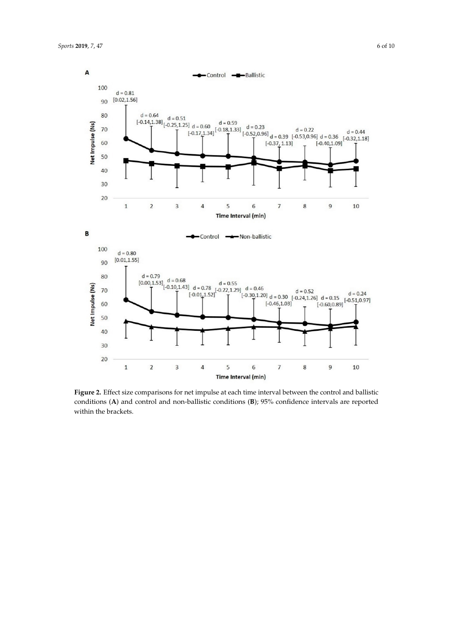<span id="page-7-0"></span>

conditions (A) and control and non-ballistic conditions  $(B)$ ; 95% confidence intervals are reported within the prackets. **Figure 2.** Effect size comparisons for net impulse at each time interval between the control and ballistic within the brackets.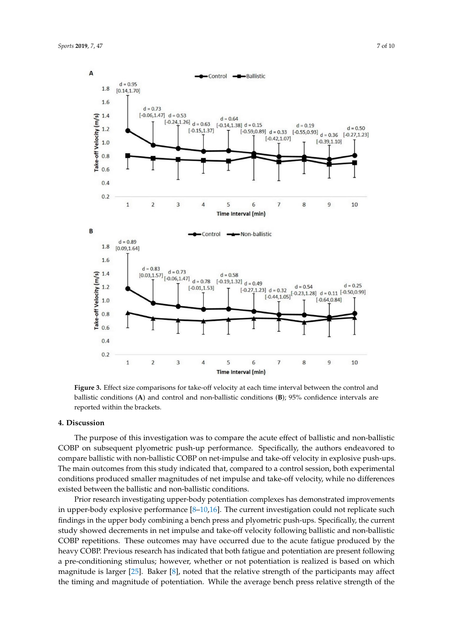<span id="page-8-0"></span>

ballistic conditions (A) and control and non-ballistic conditions (B); 95% confidence intervals are ballistic conditions (**A**) and control and non-ballistic conditions (**B**); 95% confidence intervals are **Figure 3.** Effect size comparisons for take-off velocity at each time interval between the control and reported within the brackets.

### **4. Discussion**

**4. Discussion**  COBP on subsequent plyometric push-up performance. Specifically, the authors endeavored to compare ballistic with non-ballistic COBP on net-impulse and take-off velocity in explosive push-ups. The main outcomes from this study indicated that, compared to a control session, both experimental conditions produced smaller magnitudes of net impulse and take-off velocity, while no differences existed between the ballistic and non-ballistic conditions.<br>
existed between the ballistic and non-ballistic conditions. The purpose of this investigation was to compare the acute effect of ballistic and non-ballistic

Prior research investigating upper-body potentiation complexes has demonstrated improvements<br>in which is no part of neutral investigation control in the search investigation could not part out part. differences existed between the ballistic and non-ballistic conditions. The ballistic conditions in the upper body combining a bench press and plyometric push-ups. Specifically, the current study showed decrements in net impulse and take-off velocity following ballistic and non-ballistic COBP repetitions. These outcomes may have occurred due to the acute fatigue produced by the heavy COBP. Previous research has indicated that both fatigue and potentiation are present following a pre-conditioning stimulus; however, whether or not potentiation is realized is based on which magnitude is larger [25]. Baker [8], noted that the relative strength of the participants may affect the timing and magnitude of potentiation. While the average bench press relative strength of the in upper-body explosive performance  $[8-10,16]$  $[8-10,16]$  $[8-10,16]$ . The current investigation could not replicate such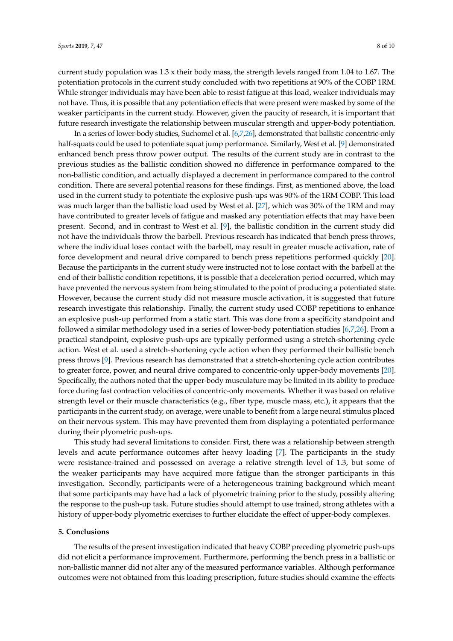current study population was 1.3 x their body mass, the strength levels ranged from 1.04 to 1.67. The potentiation protocols in the current study concluded with two repetitions at 90% of the COBP 1RM. While stronger individuals may have been able to resist fatigue at this load, weaker individuals may not have. Thus, it is possible that any potentiation effects that were present were masked by some of the weaker participants in the current study. However, given the paucity of research, it is important that future research investigate the relationship between muscular strength and upper-body potentiation.

In a series of lower-body studies, Suchomel et al. [\[6](#page-10-5)[,7](#page-10-6)[,26\]](#page-11-7), demonstrated that ballistic concentric-only half-squats could be used to potentiate squat jump performance. Similarly, West et al. [\[9\]](#page-10-16) demonstrated enhanced bench press throw power output. The results of the current study are in contrast to the previous studies as the ballistic condition showed no difference in performance compared to the non-ballistic condition, and actually displayed a decrement in performance compared to the control condition. There are several potential reasons for these findings. First, as mentioned above, the load used in the current study to potentiate the explosive push-ups was 90% of the 1RM COBP. This load was much larger than the ballistic load used by West et al. [\[27\]](#page-11-8), which was 30% of the 1RM and may have contributed to greater levels of fatigue and masked any potentiation effects that may have been present. Second, and in contrast to West et al. [\[9\]](#page-10-16), the ballistic condition in the current study did not have the individuals throw the barbell. Previous research has indicated that bench press throws, where the individual loses contact with the barbell, may result in greater muscle activation, rate of force development and neural drive compared to bench press repetitions performed quickly [\[20\]](#page-11-1). Because the participants in the current study were instructed not to lose contact with the barbell at the end of their ballistic condition repetitions, it is possible that a deceleration period occurred, which may have prevented the nervous system from being stimulated to the point of producing a potentiated state. However, because the current study did not measure muscle activation, it is suggested that future research investigate this relationship. Finally, the current study used COBP repetitions to enhance an explosive push-up performed from a static start. This was done from a specificity standpoint and followed a similar methodology used in a series of lower-body potentiation studies [\[6](#page-10-5)[,7](#page-10-6)[,26\]](#page-11-7). From a practical standpoint, explosive push-ups are typically performed using a stretch-shortening cycle action. West et al. used a stretch-shortening cycle action when they performed their ballistic bench press throws [\[9\]](#page-10-16). Previous research has demonstrated that a stretch-shortening cycle action contributes to greater force, power, and neural drive compared to concentric-only upper-body movements [\[20\]](#page-11-1). Specifically, the authors noted that the upper-body musculature may be limited in its ability to produce force during fast contraction velocities of concentric-only movements. Whether it was based on relative strength level or their muscle characteristics (e.g., fiber type, muscle mass, etc.), it appears that the participants in the current study, on average, were unable to benefit from a large neural stimulus placed on their nervous system. This may have prevented them from displaying a potentiated performance during their plyometric push-ups.

This study had several limitations to consider. First, there was a relationship between strength levels and acute performance outcomes after heavy loading [\[7\]](#page-10-6). The participants in the study were resistance-trained and possessed on average a relative strength level of 1.3, but some of the weaker participants may have acquired more fatigue than the stronger participants in this investigation. Secondly, participants were of a heterogeneous training background which meant that some participants may have had a lack of plyometric training prior to the study, possibly altering the response to the push-up task. Future studies should attempt to use trained, strong athletes with a history of upper-body plyometric exercises to further elucidate the effect of upper-body complexes.

#### **5. Conclusions**

The results of the present investigation indicated that heavy COBP preceding plyometric push-ups did not elicit a performance improvement. Furthermore, performing the bench press in a ballistic or non-ballistic manner did not alter any of the measured performance variables. Although performance outcomes were not obtained from this loading prescription, future studies should examine the effects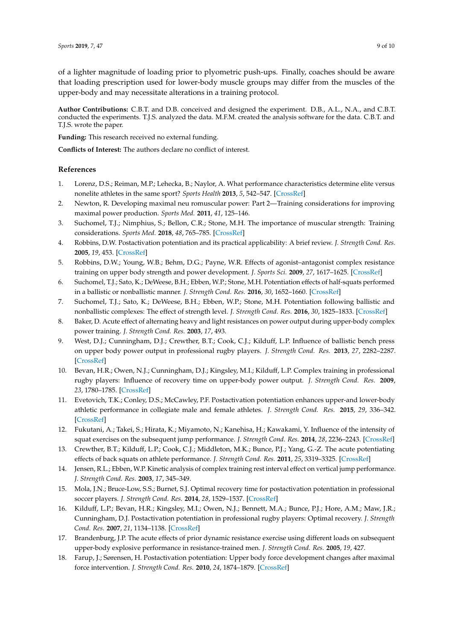of a lighter magnitude of loading prior to plyometric push-ups. Finally, coaches should be aware that loading prescription used for lower-body muscle groups may differ from the muscles of the upper-body and may necessitate alterations in a training protocol.

**Author Contributions:** C.B.T. and D.B. conceived and designed the experiment. D.B., A.L., N.A., and C.B.T. conducted the experiments. T.J.S. analyzed the data. M.F.M. created the analysis software for the data. C.B.T. and T.J.S. wrote the paper.

**Funding:** This research received no external funding.

**Conflicts of Interest:** The authors declare no conflict of interest.

#### **References**

- <span id="page-10-0"></span>1. Lorenz, D.S.; Reiman, M.P.; Lehecka, B.; Naylor, A. What performance characteristics determine elite versus nonelite athletes in the same sport? *Sports Health* **2013**, *5*, 542–547. [\[CrossRef\]](http://dx.doi.org/10.1177/1941738113479763)
- <span id="page-10-1"></span>2. Newton, R. Developing maximal neu romuscular power: Part 2—Training considerations for improving maximal power production. *Sports Med.* **2011**, *41*, 125–146.
- <span id="page-10-2"></span>3. Suchomel, T.J.; Nimphius, S.; Bellon, C.R.; Stone, M.H. The importance of muscular strength: Training considerations. *Sports Med.* **2018**, *48*, 765–785. [\[CrossRef\]](http://dx.doi.org/10.1007/s40279-018-0862-z)
- <span id="page-10-3"></span>4. Robbins, D.W. Postactivation potentiation and its practical applicability: A brief review. *J. Strength Cond. Res.* **2005**, *19*, 453. [\[CrossRef\]](http://dx.doi.org/10.1519/R-14653.1)
- <span id="page-10-4"></span>5. Robbins, D.W.; Young, W.B.; Behm, D.G.; Payne, W.R. Effects of agonist–antagonist complex resistance training on upper body strength and power development. *J. Sports Sci.* **2009**, *27*, 1617–1625. [\[CrossRef\]](http://dx.doi.org/10.1080/02640410903365677)
- <span id="page-10-5"></span>6. Suchomel, T.J.; Sato, K.; DeWeese, B.H.; Ebben, W.P.; Stone, M.H. Potentiation effects of half-squats performed in a ballistic or nonballistic manner. *J. Strength Cond. Res.* **2016**, *30*, 1652–1660. [\[CrossRef\]](http://dx.doi.org/10.1519/JSC.0000000000001251)
- <span id="page-10-6"></span>7. Suchomel, T.J.; Sato, K.; DeWeese, B.H.; Ebben, W.P.; Stone, M.H. Potentiation following ballistic and nonballistic complexes: The effect of strength level. *J. Strength Cond. Res.* **2016**, *30*, 1825–1833. [\[CrossRef\]](http://dx.doi.org/10.1519/JSC.0000000000001288)
- <span id="page-10-7"></span>8. Baker, D. Acute effect of alternating heavy and light resistances on power output during upper-body complex power training. *J. Strength Cond. Res.* **2003**, *17*, 493.
- <span id="page-10-16"></span>9. West, D.J.; Cunningham, D.J.; Crewther, B.T.; Cook, C.J.; Kilduff, L.P. Influence of ballistic bench press on upper body power output in professional rugby players. *J. Strength Cond. Res.* **2013**, *27*, 2282–2287. [\[CrossRef\]](http://dx.doi.org/10.1519/JSC.0b013e31827de6f1)
- <span id="page-10-8"></span>10. Bevan, H.R.; Owen, N.J.; Cunningham, D.J.; Kingsley, M.I.; Kilduff, L.P. Complex training in professional rugby players: Influence of recovery time on upper-body power output. *J. Strength Cond. Res.* **2009**, *23*, 1780–1785. [\[CrossRef\]](http://dx.doi.org/10.1519/JSC.0b013e3181b3f269)
- <span id="page-10-9"></span>11. Evetovich, T.K.; Conley, D.S.; McCawley, P.F. Postactivation potentiation enhances upper-and lower-body athletic performance in collegiate male and female athletes. *J. Strength Cond. Res.* **2015**, *29*, 336–342. [\[CrossRef\]](http://dx.doi.org/10.1519/JSC.0000000000000728)
- 12. Fukutani, A.; Takei, S.; Hirata, K.; Miyamoto, N.; Kanehisa, H.; Kawakami, Y. Influence of the intensity of squat exercises on the subsequent jump performance. *J. Strength Cond. Res.* **2014**, *28*, 2236–2243. [\[CrossRef\]](http://dx.doi.org/10.1519/JSC.0000000000000409)
- <span id="page-10-10"></span>13. Crewther, B.T.; Kilduff, L.P.; Cook, C.J.; Middleton, M.K.; Bunce, P.J.; Yang, G.-Z. The acute potentiating effects of back squats on athlete performance. *J. Strength Cond. Res.* **2011**, *25*, 3319–3325. [\[CrossRef\]](http://dx.doi.org/10.1519/JSC.0b013e318215f560)
- <span id="page-10-11"></span>14. Jensen, R.L.; Ebben, W.P. Kinetic analysis of complex training rest interval effect on vertical jump performance. *J. Strength Cond. Res.* **2003**, *17*, 345–349.
- <span id="page-10-12"></span>15. Mola, J.N.; Bruce-Low, S.S.; Burnet, S.J. Optimal recovery time for postactivation potentiation in professional soccer players. *J. Strength Cond. Res.* **2014**, *28*, 1529–1537. [\[CrossRef\]](http://dx.doi.org/10.1519/JSC.0000000000000313)
- <span id="page-10-13"></span>16. Kilduff, L.P.; Bevan, H.R.; Kingsley, M.I.; Owen, N.J.; Bennett, M.A.; Bunce, P.J.; Hore, A.M.; Maw, J.R.; Cunningham, D.J. Postactivation potentiation in professional rugby players: Optimal recovery. *J. Strength Cond. Res.* **2007**, *21*, 1134–1138. [\[CrossRef\]](http://dx.doi.org/10.1519/00124278-200711000-00026)
- <span id="page-10-14"></span>17. Brandenburg, J.P. The acute effects of prior dynamic resistance exercise using different loads on subsequent upper-body explosive performance in resistance-trained men. *J. Strength Cond. Res.* **2005**, *19*, 427.
- <span id="page-10-15"></span>18. Farup, J.; Sørensen, H. Postactivation potentiation: Upper body force development changes after maximal force intervention. *J. Strength Cond. Res.* **2010**, *24*, 1874–1879. [\[CrossRef\]](http://dx.doi.org/10.1519/JSC.0b013e3181ddb19a)